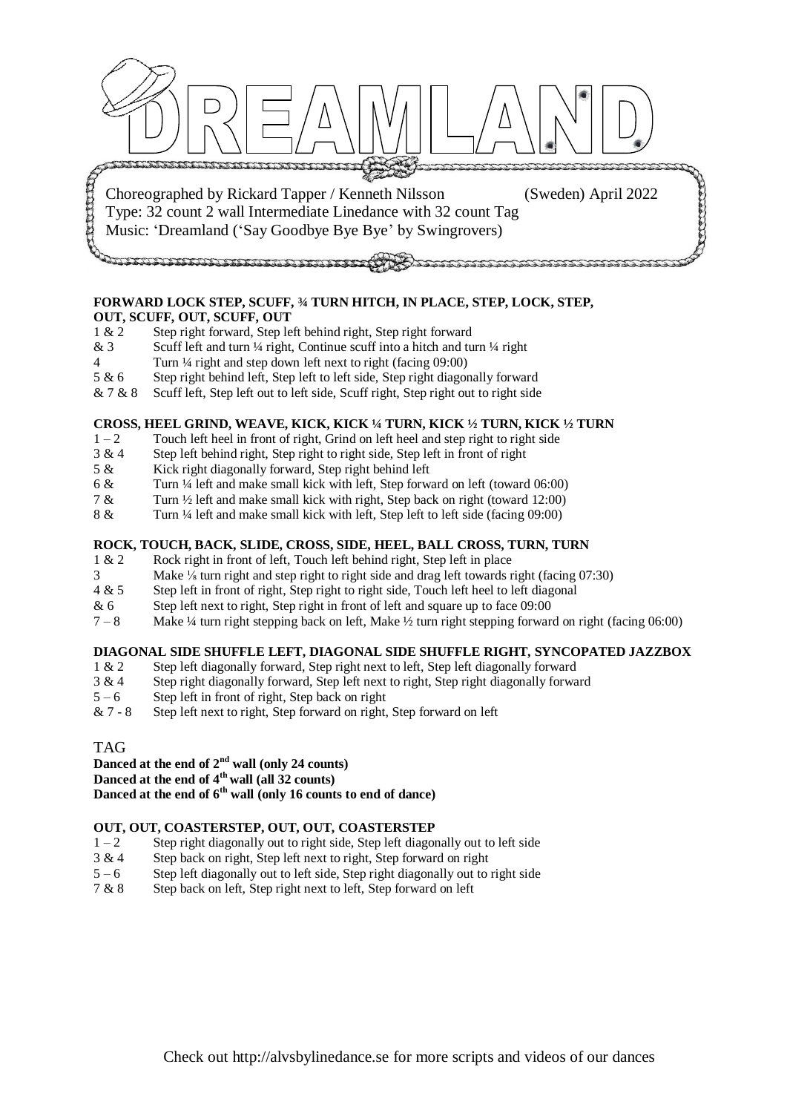

# **FORWARD LOCK STEP, SCUFF, ¾ TURN HITCH, IN PLACE, STEP, LOCK, STEP,**

- **OUT, SCUFF, OUT, SCUFF, OUT**<br>1 & 2 Step right forward. Step le Step right forward, Step left behind right, Step right forward
- & 3 Scuff left and turn  $\frac{1}{4}$  right, Continue scuff into a hitch and turn  $\frac{1}{4}$  right
- 4 Turn ¼ right and step down left next to right (facing 09:00)
- 5 & 6 Step right behind left, Step left to left side, Step right diagonally forward
- & 7 & 8 Scuff left, Step left out to left side, Scuff right, Step right out to right side

#### **CROSS, HEEL GRIND, WEAVE, KICK, KICK ¼ TURN, KICK ½ TURN, KICK ½ TURN**

- $1 2$  Touch left heel in front of right, Grind on left heel and step right to right side
- 3 & 4 Step left behind right, Step right to right side, Step left in front of right
- 5 & Kick right diagonally forward, Step right behind left
- 6 & Turn ¼ left and make small kick with left, Step forward on left (toward 06:00)
- 7 & Turn ½ left and make small kick with right, Step back on right (toward 12:00)
- 8 & Turn ¼ left and make small kick with left, Step left to left side (facing 09:00)

### **ROCK, TOUCH, BACK, SLIDE, CROSS, SIDE, HEEL, BALL CROSS, TURN, TURN**

- 1 & 2 Rock right in front of left, Touch left behind right, Step left in place
- 3 Make ⅛ turn right and step right to right side and drag left towards right (facing 07:30)
- 4 & 5 Step left in front of right, Step right to right side, Touch left heel to left diagonal
- & 6 Step left next to right, Step right in front of left and square up to face 09:00
- 7 8 Make ¼ turn right stepping back on left, Make ½ turn right stepping forward on right (facing 06:00)

#### **DIAGONAL SIDE SHUFFLE LEFT, DIAGONAL SIDE SHUFFLE RIGHT, SYNCOPATED JAZZBOX**

- 1 & 2 Step left diagonally forward, Step right next to left, Step left diagonally forward
- 3 & 4 Step right diagonally forward, Step left next to right, Step right diagonally forward
- $5 6$  Step left in front of right, Step back on right
- $& 7 8$  Step left next to right, Step forward on right, Step forward on left

## TAG

## **Danced at the end of 2nd wall (only 24 counts)**

**Danced at the end of 4th wall (all 32 counts)**

**Danced at the end of 6th wall (only 16 counts to end of dance)**

#### **OUT, OUT, COASTERSTEP, OUT, OUT, COASTERSTEP**

- $1 2$  Step right diagonally out to right side, Step left diagonally out to left side
- 3 & 4 Step back on right, Step left next to right, Step forward on right
- 5 6 Step left diagonally out to left side, Step right diagonally out to right side
- 7 & 8 Step back on left, Step right next to left, Step forward on left